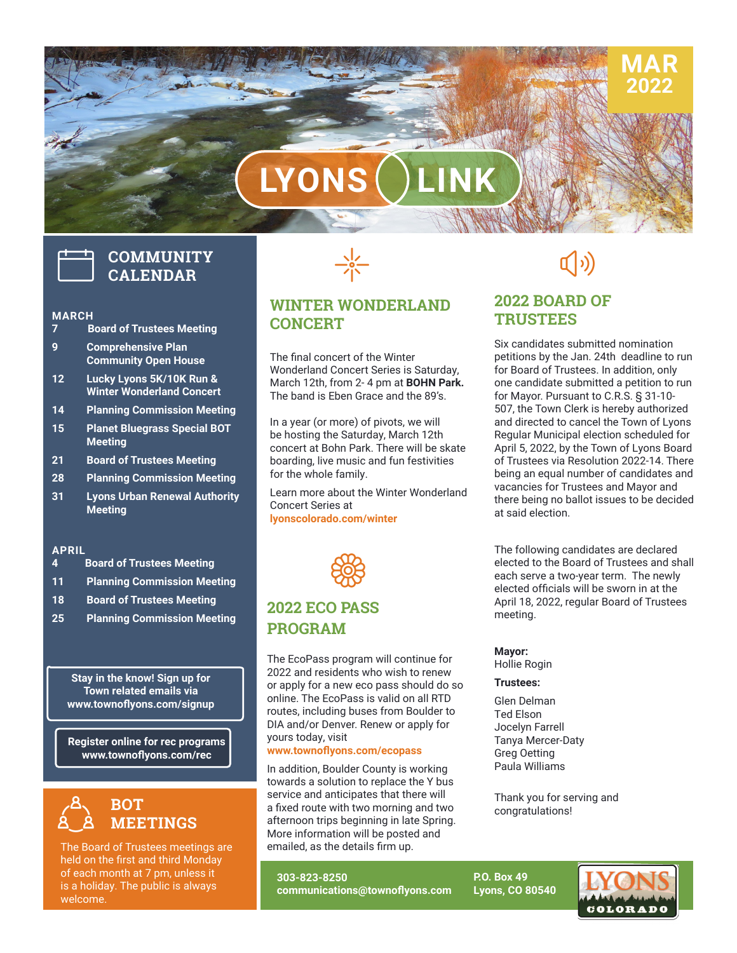# LYONS

## **COMMUNITY CALENDAR**

#### **MARCH**

- **7 Board of Trustees Meeting**
- **9 Comprehensive Plan Community Open House**
- **12 Lucky Lyons 5K/10K Run & Winter Wonderland Concert**
- **14 Planning Commission Meeting**
- **15 Planet Bluegrass Special BOT Meeting**
- **21 Board of Trustees Meeting**
- **28 Planning Commission Meeting**
- **31 Lyons Urban Renewal Authority Meeting**

#### **APRIL**

- **4 Board of Trustees Meeting**
- **11 Planning Commission Meeting**
- **18 Board of Trustees Meeting**
- **25 Planning Commission Meeting**

**Stay in the know! Sign up for Town related emails via www.townoflyons.com/signup**

**Register online for rec programs www.townoflyons.com/rec**



The Board of Trustees meetings are held on the first and third Monday of each month at 7 pm, unless it is a holiday. The public is always welcome.



**WINTER WONDERLAND CONCERT**

The final concert of the Winter Wonderland Concert Series is Saturday, March 12th, from 2- 4 pm at **BOHN Park.**  The band is Eben Grace and the 89's.

In a year (or more) of pivots, we will be hosting the Saturday, March 12th concert at Bohn Park. There will be skate boarding, live music and fun festivities for the whole family.

Learn more about the Winter Wonderland Concert Series at **lyonscolorado.com/winter**



## **2022 ECO PASS PROGRAM**

The EcoPass program will continue for 2022 and residents who wish to renew or apply for a new eco pass should do so online. The EcoPass is valid on all RTD routes, including buses from Boulder to DIA and/or Denver. Renew or apply for yours today, visit

#### **www.townoflyons.com/ecopass**

In addition, Boulder County is working<br>towards a solution to replace the Y bus **v.towno**<br>ddition,<br>ards a s In addition, Boulder County is working service and anticipates that there will a fixed route with two morning and two afternoon trips beginning in late Spring. More information will be posted and emailed, as the details firm up.

**303-823-8250 communications@townoflyons.com**

## $\rightarrow$

**MAR 2022**

### **2022 BOARD OF TRUSTEES**

Six candidates submitted nomination petitions by the Jan. 24th deadline to run for Board of Trustees. In addition, only one candidate submitted a petition to run for Mayor. Pursuant to C.R.S. § 31-10- 507, the Town Clerk is hereby authorized and directed to cancel the Town of Lyons Regular Municipal election scheduled for April 5, 2022, by the Town of Lyons Board of Trustees via Resolution 2022-14. There being an equal number of candidates and vacancies for Trustees and Mayor and there being no ballot issues to be decided at said election.

The following candidates are declared elected to the Board of Trustees and shall each serve a two-year term. The newly elected officials will be sworn in at the April 18, 2022, regular Board of Trustees meeting.

#### **Mayor:**

Hollie Rogin

#### **Trustees:**

Glen Delman Ted Elson Jocelyn Farrell Tanya Mercer-Daty Greg Oetting Paula Williams

Thank you for serving and congratulations!